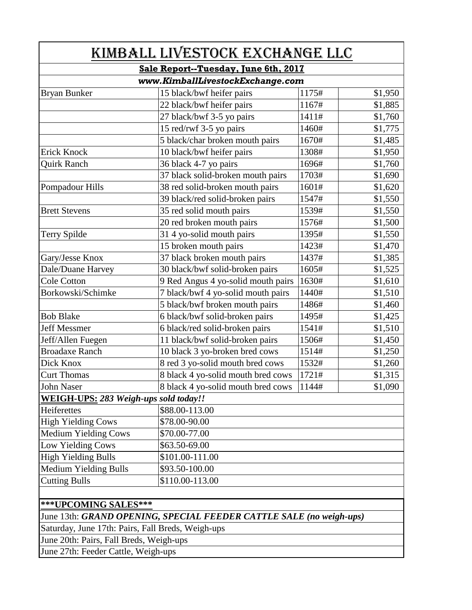| KIMBALL LIVESTOCK EXCHANGE LLC<br>Sale Report--Tuesday, June 6th, 2017<br>www.KimballLivestockExchange.com |                                    |       |         |                     |                           |       |         |
|------------------------------------------------------------------------------------------------------------|------------------------------------|-------|---------|---------------------|---------------------------|-------|---------|
|                                                                                                            |                                    |       |         | <b>Bryan Bunker</b> | 15 black/bwf heifer pairs | 1175# | \$1,950 |
|                                                                                                            |                                    |       |         |                     | 22 black/bwf heifer pairs | 1167# | \$1,885 |
|                                                                                                            | 27 black/bwf 3-5 yo pairs          | 1411# | \$1,760 |                     |                           |       |         |
|                                                                                                            | 15 red/rwf 3-5 yo pairs            | 1460# | \$1,775 |                     |                           |       |         |
|                                                                                                            | 5 black/char broken mouth pairs    | 1670# | \$1,485 |                     |                           |       |         |
| Erick Knock                                                                                                | 10 black/bwf heifer pairs          | 1308# | \$1,950 |                     |                           |       |         |
| <b>Quirk Ranch</b>                                                                                         | 36 black 4-7 yo pairs              | 1696# | \$1,760 |                     |                           |       |         |
|                                                                                                            | 37 black solid-broken mouth pairs  | 1703# | \$1,690 |                     |                           |       |         |
| Pompadour Hills                                                                                            | 38 red solid-broken mouth pairs    | 1601# | \$1,620 |                     |                           |       |         |
|                                                                                                            | 39 black/red solid-broken pairs    | 1547# | \$1,550 |                     |                           |       |         |
| <b>Brett Stevens</b>                                                                                       | 35 red solid mouth pairs           | 1539# | \$1,550 |                     |                           |       |         |
|                                                                                                            | 20 red broken mouth pairs          | 1576# | \$1,500 |                     |                           |       |         |
| Terry Spilde                                                                                               | 31 4 yo-solid mouth pairs          | 1395# | \$1,550 |                     |                           |       |         |
|                                                                                                            | 15 broken mouth pairs              | 1423# | \$1,470 |                     |                           |       |         |
| Gary/Jesse Knox                                                                                            | 37 black broken mouth pairs        | 1437# | \$1,385 |                     |                           |       |         |
| Dale/Duane Harvey                                                                                          | 30 black/bwf solid-broken pairs    | 1605# | \$1,525 |                     |                           |       |         |
| Cole Cotton                                                                                                | 9 Red Angus 4 yo-solid mouth pairs | 1630# | \$1,610 |                     |                           |       |         |
| Borkowski/Schimke                                                                                          | 7 black/bwf 4 yo-solid mouth pairs | 1440# | \$1,510 |                     |                           |       |         |
|                                                                                                            | 5 black/bwf broken mouth pairs     | 1486# | \$1,460 |                     |                           |       |         |
| <b>Bob Blake</b>                                                                                           | 6 black/bwf solid-broken pairs     | 1495# | \$1,425 |                     |                           |       |         |
| <b>Jeff Messmer</b>                                                                                        | 6 black/red solid-broken pairs     | 1541# | \$1,510 |                     |                           |       |         |
| Jeff/Allen Fuegen                                                                                          | 11 black/bwf solid-broken pairs    | 1506# | \$1,450 |                     |                           |       |         |
| <b>Broadaxe Ranch</b>                                                                                      | 10 black 3 yo-broken bred cows     | 1514# | \$1,250 |                     |                           |       |         |
| Dick Knox                                                                                                  | 8 red 3 yo-solid mouth bred cows   | 1532# | \$1,260 |                     |                           |       |         |
| <b>Curt Thomas</b>                                                                                         | 8 black 4 yo-solid mouth bred cows | 1721# | \$1,315 |                     |                           |       |         |
| John Naser                                                                                                 | 8 black 4 yo-solid mouth bred cows | 1144# | \$1,090 |                     |                           |       |         |
| WEIGH-UPS: 283 Weigh-ups sold today!!                                                                      |                                    |       |         |                     |                           |       |         |
| Heiferettes                                                                                                | \$88.00-113.00                     |       |         |                     |                           |       |         |
| <b>High Yielding Cows</b>                                                                                  | \$78.00-90.00                      |       |         |                     |                           |       |         |
| Medium Yielding Cows                                                                                       | \$70.00-77.00                      |       |         |                     |                           |       |         |
| Low Yielding Cows                                                                                          | \$63.50-69.00                      |       |         |                     |                           |       |         |
| <b>High Yielding Bulls</b>                                                                                 | \$101.00-111.00                    |       |         |                     |                           |       |         |
| Medium Yielding Bulls                                                                                      | \$93.50-100.00                     |       |         |                     |                           |       |         |
| <b>Cutting Bulls</b>                                                                                       | \$110.00-113.00                    |       |         |                     |                           |       |         |
|                                                                                                            |                                    |       |         |                     |                           |       |         |
| ***UPCOMING SALES***                                                                                       |                                    |       |         |                     |                           |       |         |

## June 13th: *GRAND OPENING, SPECIAL FEEDER CATTLE SALE (no weigh-ups)*

Saturday, June 17th: Pairs, Fall Breds, Weigh-ups

June 20th: Pairs, Fall Breds, Weigh-ups

June 27th: Feeder Cattle, Weigh-ups